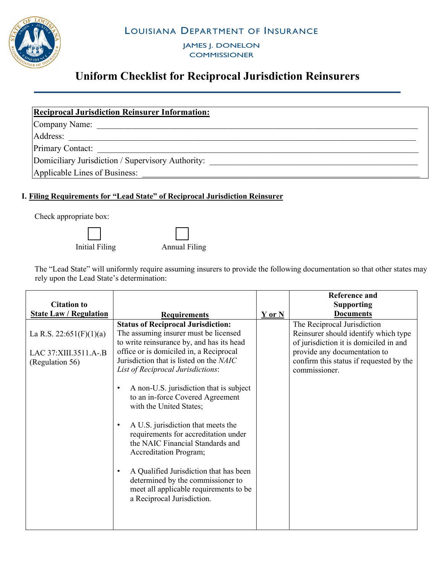LOUISIANA DEPARTMENT OF INSURANCE



JAMES J. DONELON **COMMISSIONER** 

# **Uniform Checklist for Reciprocal Jurisdiction Reinsurers**

| <b>Reciprocal Jurisdiction Reinsurer Information:</b> |
|-------------------------------------------------------|
| Company Name:                                         |
| Address:                                              |
| <b>Primary Contact:</b>                               |
| Domiciliary Jurisdiction / Supervisory Authority:     |
| Applicable Lines of Business:                         |

### **I. Filing Requirements for "Lead State" of Reciprocal Jurisdiction Reinsurer**

Check appropriate box:

 $\overline{\phantom{a}}$ Initial Filing

 $\overline{\phantom{0}}$ Annual Filing

The "Lead State" will uniformly require assuming insurers to provide the following documentation so that other states may rely upon the Lead State's determination:

|                                                                      |                                                                                                                                                                                                                                                                                                                                                                                                                                                                                                                                                                                                                                                                                                                |            | <b>Reference and</b>                                                                                                                                                                                      |
|----------------------------------------------------------------------|----------------------------------------------------------------------------------------------------------------------------------------------------------------------------------------------------------------------------------------------------------------------------------------------------------------------------------------------------------------------------------------------------------------------------------------------------------------------------------------------------------------------------------------------------------------------------------------------------------------------------------------------------------------------------------------------------------------|------------|-----------------------------------------------------------------------------------------------------------------------------------------------------------------------------------------------------------|
| <b>Citation to</b>                                                   |                                                                                                                                                                                                                                                                                                                                                                                                                                                                                                                                                                                                                                                                                                                |            | <b>Supporting</b>                                                                                                                                                                                         |
| <b>State Law / Regulation</b>                                        | <b>Requirements</b>                                                                                                                                                                                                                                                                                                                                                                                                                                                                                                                                                                                                                                                                                            | $Y$ or $N$ | <b>Documents</b>                                                                                                                                                                                          |
| La R.S. 22:651(F)(1)(a)<br>LAC 37: XIII.3511.A-.B<br>(Regulation 56) | <b>Status of Reciprocal Jurisdiction:</b><br>The assuming insurer must be licensed<br>to write reinsurance by, and has its head<br>office or is domiciled in, a Reciprocal<br>Jurisdiction that is listed on the NAIC<br>List of Reciprocal Jurisdictions:<br>A non-U.S. jurisdiction that is subject<br>$\bullet$<br>to an in-force Covered Agreement<br>with the United States;<br>A U.S. jurisdiction that meets the<br>$\bullet$<br>requirements for accreditation under<br>the NAIC Financial Standards and<br>Accreditation Program;<br>A Qualified Jurisdiction that has been<br>$\bullet$<br>determined by the commissioner to<br>meet all applicable requirements to be<br>a Reciprocal Jurisdiction. |            | The Reciprocal Jurisdiction<br>Reinsurer should identify which type<br>of jurisdiction it is domiciled in and<br>provide any documentation to<br>confirm this status if requested by the<br>commissioner. |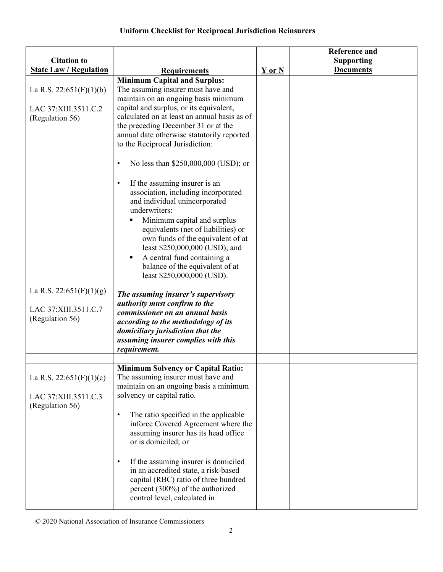| <b>Citation to</b>                                                  |                                                                                                                                                                                                                                                                                                                                                                                                                                                                                                                                                                                                                                                                                                                                                                                                                |            | <b>Reference and</b><br><b>Supporting</b> |
|---------------------------------------------------------------------|----------------------------------------------------------------------------------------------------------------------------------------------------------------------------------------------------------------------------------------------------------------------------------------------------------------------------------------------------------------------------------------------------------------------------------------------------------------------------------------------------------------------------------------------------------------------------------------------------------------------------------------------------------------------------------------------------------------------------------------------------------------------------------------------------------------|------------|-------------------------------------------|
| <b>State Law / Regulation</b>                                       |                                                                                                                                                                                                                                                                                                                                                                                                                                                                                                                                                                                                                                                                                                                                                                                                                |            | <b>Documents</b>                          |
| La R.S. 22:651(F)(1)(b)<br>LAC 37: XIII.3511.C.2<br>(Regulation 56) | <b>Requirements</b><br><b>Minimum Capital and Surplus:</b><br>The assuming insurer must have and<br>maintain on an ongoing basis minimum<br>capital and surplus, or its equivalent,<br>calculated on at least an annual basis as of<br>the preceding December 31 or at the<br>annual date otherwise statutorily reported<br>to the Reciprocal Jurisdiction:<br>No less than \$250,000,000 (USD); or<br>$\bullet$<br>If the assuming insurer is an<br>$\bullet$<br>association, including incorporated<br>and individual unincorporated<br>underwriters:<br>Minimum capital and surplus<br>٠<br>equivalents (net of liabilities) or<br>own funds of the equivalent of at<br>least \$250,000,000 (USD); and<br>A central fund containing a<br>٠<br>balance of the equivalent of at<br>least \$250,000,000 (USD). | $Y$ or $N$ |                                           |
| La R.S. 22:651(F)(1)(g)<br>LAC 37: XIII.3511.C.7<br>(Regulation 56) | The assuming insurer's supervisory<br>authority must confirm to the<br>commissioner on an annual basis<br>according to the methodology of its<br>domiciliary jurisdiction that the<br>assuming insurer complies with this<br>requirement.                                                                                                                                                                                                                                                                                                                                                                                                                                                                                                                                                                      |            |                                           |
| La R.S. 22:651(F)(1)(c)<br>LAC 37: XIII.3511.C.3<br>(Regulation 56) | <b>Minimum Solvency or Capital Ratio:</b><br>The assuming insurer must have and<br>maintain on an ongoing basis a minimum<br>solvency or capital ratio.<br>The ratio specified in the applicable<br>$\bullet$<br>inforce Covered Agreement where the<br>assuming insurer has its head office<br>or is domiciled; or<br>If the assuming insurer is domiciled<br>$\bullet$<br>in an accredited state, a risk-based<br>capital (RBC) ratio of three hundred<br>percent (300%) of the authorized<br>control level, calculated in                                                                                                                                                                                                                                                                                   |            |                                           |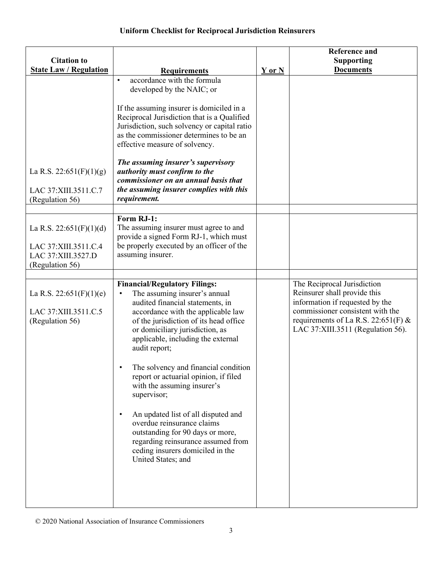| <b>Citation to</b>                                                                                   |                                                                                                                                                                                                                                                                                                                                                                                                                                                                                                                                                                                                                                                       |        | <b>Reference and</b><br><b>Supporting</b>                                                                                                                                                                      |
|------------------------------------------------------------------------------------------------------|-------------------------------------------------------------------------------------------------------------------------------------------------------------------------------------------------------------------------------------------------------------------------------------------------------------------------------------------------------------------------------------------------------------------------------------------------------------------------------------------------------------------------------------------------------------------------------------------------------------------------------------------------------|--------|----------------------------------------------------------------------------------------------------------------------------------------------------------------------------------------------------------------|
| <b>State Law / Regulation</b><br>La R.S. 22:651(F)(1)(g)<br>LAC 37: XIII.3511.C.7<br>(Regulation 56) | <b>Requirements</b><br>accordance with the formula<br>$\bullet$<br>developed by the NAIC; or<br>If the assuming insurer is domiciled in a<br>Reciprocal Jurisdiction that is a Qualified<br>Jurisdiction, such solvency or capital ratio<br>as the commissioner determines to be an<br>effective measure of solvency.<br>The assuming insurer's supervisory<br>authority must confirm to the<br>commissioner on an annual basis that<br>the assuming insurer complies with this<br>requirement.                                                                                                                                                       | Y or N | <b>Documents</b>                                                                                                                                                                                               |
| La R.S. 22:651(F)(1)(d)<br>LAC 37: XIII.3511.C.4<br>LAC 37: XIII.3527.D<br>(Regulation 56)           | Form RJ-1:<br>The assuming insurer must agree to and<br>provide a signed Form RJ-1, which must<br>be properly executed by an officer of the<br>assuming insurer.                                                                                                                                                                                                                                                                                                                                                                                                                                                                                      |        |                                                                                                                                                                                                                |
| La R.S. 22:651(F)(1)(e)<br>LAC 37: XIII.3511.C.5<br>(Regulation 56)                                  | <b>Financial/Regulatory Filings:</b><br>The assuming insurer's annual<br>$\bullet$<br>audited financial statements, in<br>accordance with the applicable law<br>of the jurisdiction of its head office<br>or domiciliary jurisdiction, as<br>applicable, including the external<br>audit report;<br>The solvency and financial condition<br>report or actuarial opinion, if filed<br>with the assuming insurer's<br>supervisor;<br>An updated list of all disputed and<br>$\bullet$<br>overdue reinsurance claims<br>outstanding for 90 days or more,<br>regarding reinsurance assumed from<br>ceding insurers domiciled in the<br>United States; and |        | The Reciprocal Jurisdiction<br>Reinsurer shall provide this<br>information if requested by the<br>commissioner consistent with the<br>requirements of La R.S. 22:651(F) &<br>LAC 37:XIII.3511 (Regulation 56). |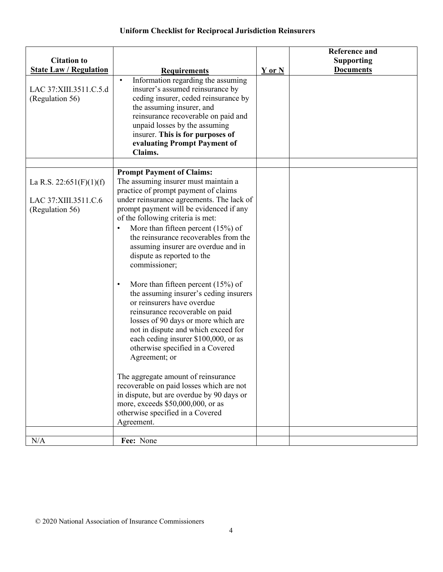|                                                                     |                                                                                                                                                                                                                                                                                                                                                                                                                                                                                                                                                                                                                                                                                                                                                                                                                                                                                                                                                   |            | <b>Reference and</b> |
|---------------------------------------------------------------------|---------------------------------------------------------------------------------------------------------------------------------------------------------------------------------------------------------------------------------------------------------------------------------------------------------------------------------------------------------------------------------------------------------------------------------------------------------------------------------------------------------------------------------------------------------------------------------------------------------------------------------------------------------------------------------------------------------------------------------------------------------------------------------------------------------------------------------------------------------------------------------------------------------------------------------------------------|------------|----------------------|
| <b>Citation to</b><br><b>State Law / Regulation</b>                 |                                                                                                                                                                                                                                                                                                                                                                                                                                                                                                                                                                                                                                                                                                                                                                                                                                                                                                                                                   |            | <b>Supporting</b>    |
| LAC 37: XIII.3511.C.5.d<br>(Regulation 56)                          | <b>Requirements</b><br>Information regarding the assuming<br>$\bullet$<br>insurer's assumed reinsurance by<br>ceding insurer, ceded reinsurance by<br>the assuming insurer, and<br>reinsurance recoverable on paid and<br>unpaid losses by the assuming<br>insurer. This is for purposes of<br>evaluating Prompt Payment of<br>Claims.                                                                                                                                                                                                                                                                                                                                                                                                                                                                                                                                                                                                            | $Y$ or $N$ | <b>Documents</b>     |
|                                                                     | <b>Prompt Payment of Claims:</b>                                                                                                                                                                                                                                                                                                                                                                                                                                                                                                                                                                                                                                                                                                                                                                                                                                                                                                                  |            |                      |
| La R.S. 22:651(F)(1)(f)<br>LAC 37: XIII.3511.C.6<br>(Regulation 56) | The assuming insurer must maintain a<br>practice of prompt payment of claims<br>under reinsurance agreements. The lack of<br>prompt payment will be evidenced if any<br>of the following criteria is met:<br>More than fifteen percent $(15%)$ of<br>$\bullet$<br>the reinsurance recoverables from the<br>assuming insurer are overdue and in<br>dispute as reported to the<br>commissioner;<br>More than fifteen percent $(15%)$ of<br>$\bullet$<br>the assuming insurer's ceding insurers<br>or reinsurers have overdue<br>reinsurance recoverable on paid<br>losses of 90 days or more which are<br>not in dispute and which exceed for<br>each ceding insurer \$100,000, or as<br>otherwise specified in a Covered<br>Agreement; or<br>The aggregate amount of reinsurance<br>recoverable on paid losses which are not<br>in dispute, but are overdue by 90 days or<br>more, exceeds \$50,000,000, or as<br>otherwise specified in a Covered |            |                      |
|                                                                     | Agreement.                                                                                                                                                                                                                                                                                                                                                                                                                                                                                                                                                                                                                                                                                                                                                                                                                                                                                                                                        |            |                      |
| N/A                                                                 | Fee: None                                                                                                                                                                                                                                                                                                                                                                                                                                                                                                                                                                                                                                                                                                                                                                                                                                                                                                                                         |            |                      |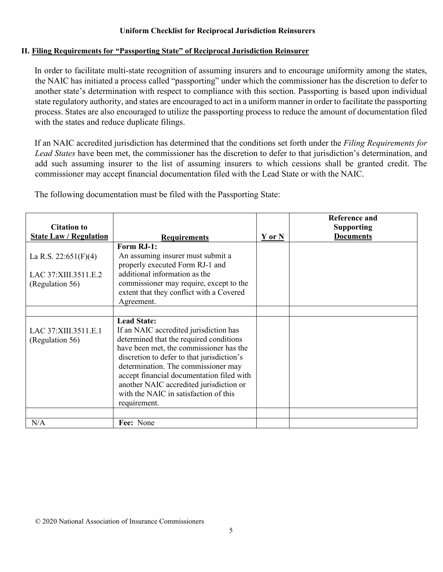#### **II. Filing Requirements for "Passporting State" of Reciprocal Jurisdiction Reinsurer**

In order to facilitate multi-state recognition of assuming insurers and to encourage uniformity among the states, the NAIC has initiated a process called "passporting" under which the commissioner has the discretion to defer to another state's determination with respect to compliance with this section. Passporting is based upon individual state regulatory authority, and states are encouraged to act in a uniform manner in order to facilitate the passporting process. States are also encouraged to utilize the passporting process to reduce the amount of documentation filed with the states and reduce duplicate filings.

If an NAIC accredited jurisdiction has determined that the conditions set forth under the *Filing Requirements for Lead States* have been met, the commissioner has the discretion to defer to that jurisdiction's determination, and add such assuming insurer to the list of assuming insurers to which cessions shall be granted credit. The commissioner may accept financial documentation filed with the Lead State or with the NAIC.

| <b>Citation to</b>                       |                                                                                                                                                                                                                                                                                                                                                                                          |            | Reference and                         |
|------------------------------------------|------------------------------------------------------------------------------------------------------------------------------------------------------------------------------------------------------------------------------------------------------------------------------------------------------------------------------------------------------------------------------------------|------------|---------------------------------------|
| <b>State Law / Regulation</b>            | <b>Requirements</b>                                                                                                                                                                                                                                                                                                                                                                      | $Y$ or $N$ | <b>Supporting</b><br><b>Documents</b> |
| La R.S. 22:651(F)(4)                     | Form RJ-1:<br>An assuming insurer must submit a                                                                                                                                                                                                                                                                                                                                          |            |                                       |
|                                          | properly executed Form RJ-1 and                                                                                                                                                                                                                                                                                                                                                          |            |                                       |
| LAC 37: XIII.3511.E.2                    | additional information as the<br>commissioner may require, except to the                                                                                                                                                                                                                                                                                                                 |            |                                       |
| (Regulation 56)                          | extent that they conflict with a Covered<br>Agreement.                                                                                                                                                                                                                                                                                                                                   |            |                                       |
|                                          |                                                                                                                                                                                                                                                                                                                                                                                          |            |                                       |
| LAC 37: XIII.3511.E.1<br>(Regulation 56) | <b>Lead State:</b><br>If an NAIC accredited jurisdiction has<br>determined that the required conditions<br>have been met, the commissioner has the<br>discretion to defer to that jurisdiction's<br>determination. The commissioner may<br>accept financial documentation filed with<br>another NAIC accredited jurisdiction or<br>with the NAIC in satisfaction of this<br>requirement. |            |                                       |
|                                          |                                                                                                                                                                                                                                                                                                                                                                                          |            |                                       |
| N/A                                      | Fee: None                                                                                                                                                                                                                                                                                                                                                                                |            |                                       |

The following documentation must be filed with the Passporting State: